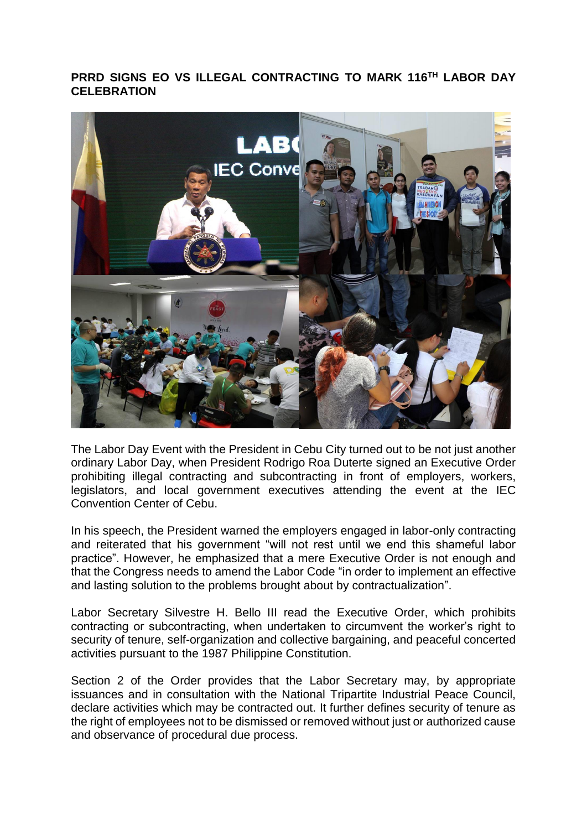## **PRRD SIGNS EO VS ILLEGAL CONTRACTING TO MARK 116TH LABOR DAY CELEBRATION**



The Labor Day Event with the President in Cebu City turned out to be not just another ordinary Labor Day, when President Rodrigo Roa Duterte signed an Executive Order prohibiting illegal contracting and subcontracting in front of employers, workers, legislators, and local government executives attending the event at the IEC Convention Center of Cebu.

In his speech, the President warned the employers engaged in labor-only contracting and reiterated that his government "will not rest until we end this shameful labor practice". However, he emphasized that a mere Executive Order is not enough and that the Congress needs to amend the Labor Code "in order to implement an effective and lasting solution to the problems brought about by contractualization".

Labor Secretary Silvestre H. Bello III read the Executive Order, which prohibits contracting or subcontracting, when undertaken to circumvent the worker's right to security of tenure, self-organization and collective bargaining, and peaceful concerted activities pursuant to the 1987 Philippine Constitution.

Section 2 of the Order provides that the Labor Secretary may, by appropriate issuances and in consultation with the National Tripartite Industrial Peace Council, declare activities which may be contracted out. It further defines security of tenure as the right of employees not to be dismissed or removed without just or authorized cause and observance of procedural due process.